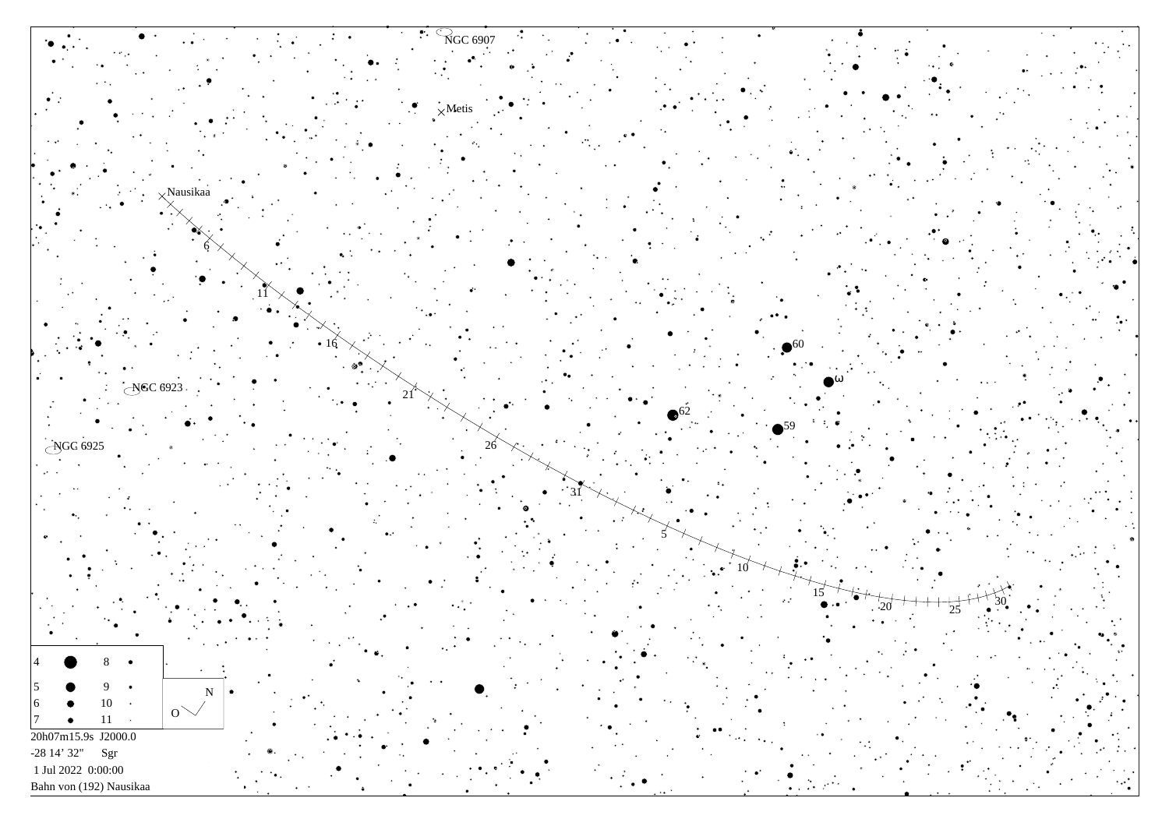